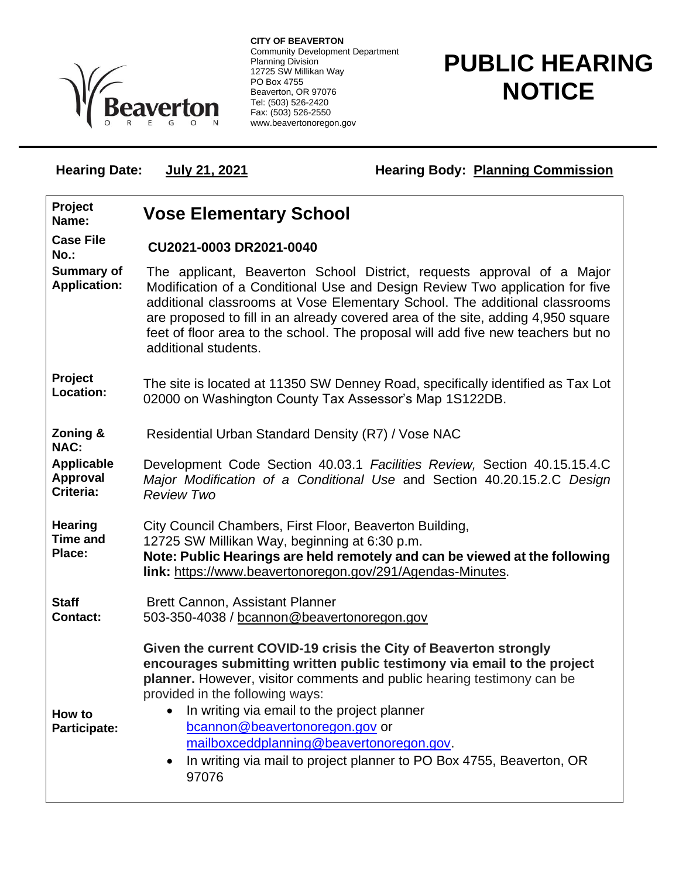

**CITY OF BEAVERTON** Community Development Department Planning Division 12725 SW Millikan Way PO Box 4755 Beaverton, OR 97076 Tel: (503) 526-2420 Fax: (503) 526-2550 www.beavertonoregon.gov

## **PUBLIC HEARING NOTICE**

Hearing Date: **July 21, 2021 Hearing Body: Planning Commission** 

| Project<br>Name:                            | <b>Vose Elementary School</b>                                                                                                                                                                                                                                                                                                                                                                                                                                          |
|---------------------------------------------|------------------------------------------------------------------------------------------------------------------------------------------------------------------------------------------------------------------------------------------------------------------------------------------------------------------------------------------------------------------------------------------------------------------------------------------------------------------------|
| <b>Case File</b><br>$No.$ :                 | CU2021-0003 DR2021-0040                                                                                                                                                                                                                                                                                                                                                                                                                                                |
| <b>Summary of</b><br><b>Application:</b>    | The applicant, Beaverton School District, requests approval of a Major<br>Modification of a Conditional Use and Design Review Two application for five<br>additional classrooms at Vose Elementary School. The additional classrooms<br>are proposed to fill in an already covered area of the site, adding 4,950 square<br>feet of floor area to the school. The proposal will add five new teachers but no<br>additional students.                                   |
| Project<br>Location:                        | The site is located at 11350 SW Denney Road, specifically identified as Tax Lot<br>02000 on Washington County Tax Assessor's Map 1S122DB.                                                                                                                                                                                                                                                                                                                              |
| Zoning &<br><b>NAC:</b>                     | Residential Urban Standard Density (R7) / Vose NAC                                                                                                                                                                                                                                                                                                                                                                                                                     |
| <b>Applicable</b><br>Approval<br>Criteria:  | Development Code Section 40.03.1 Facilities Review, Section 40.15.15.4.C<br>Major Modification of a Conditional Use and Section 40.20.15.2.C Design<br><b>Review Two</b>                                                                                                                                                                                                                                                                                               |
| <b>Hearing</b><br><b>Time and</b><br>Place: | City Council Chambers, First Floor, Beaverton Building,<br>12725 SW Millikan Way, beginning at 6:30 p.m.<br>Note: Public Hearings are held remotely and can be viewed at the following<br>link: https://www.beavertonoregon.gov/291/Agendas-Minutes.                                                                                                                                                                                                                   |
| <b>Staff</b><br><b>Contact:</b>             | <b>Brett Cannon, Assistant Planner</b><br>503-350-4038 / bcannon@beavertonoregon.gov                                                                                                                                                                                                                                                                                                                                                                                   |
| How to<br><b>Participate:</b>               | Given the current COVID-19 crisis the City of Beaverton strongly<br>encourages submitting written public testimony via email to the project<br>planner. However, visitor comments and public hearing testimony can be<br>provided in the following ways:<br>In writing via email to the project planner<br>bcannon@beavertonoregon.gov or<br>mailboxceddplanning@beavertonoregon.gov.<br>In writing via mail to project planner to PO Box 4755, Beaverton, OR<br>97076 |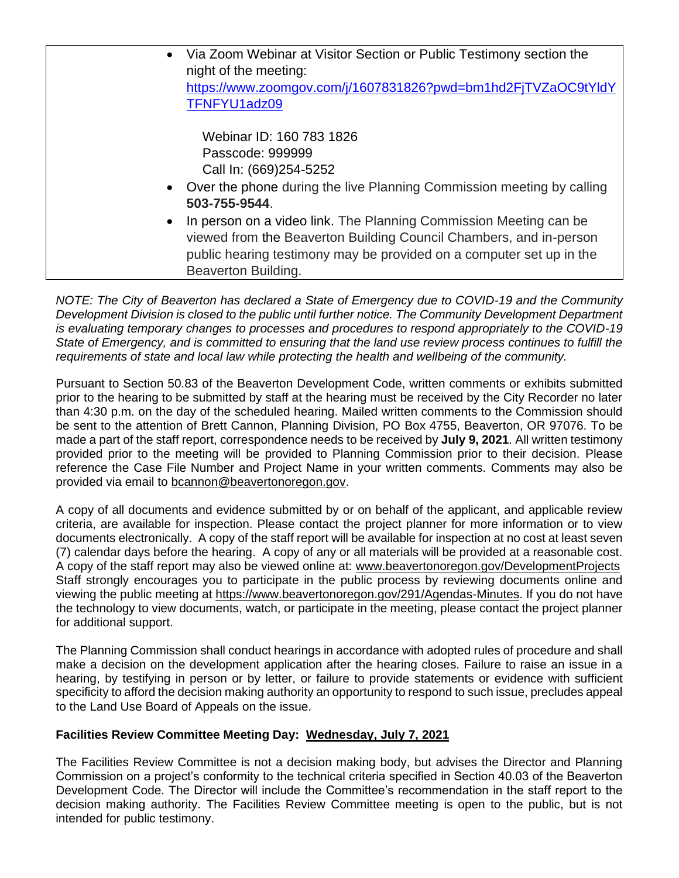| $\bullet$ | Via Zoom Webinar at Visitor Section or Public Testimony section the<br>night of the meeting:                                                                                                                                           |
|-----------|----------------------------------------------------------------------------------------------------------------------------------------------------------------------------------------------------------------------------------------|
|           | https://www.zoomgov.com/j/1607831826?pwd=bm1hd2FjTVZaOC9tYldY<br>TFNFYU1adz09                                                                                                                                                          |
|           | Webinar ID: 160 783 1826<br>Passcode: 999999<br>Call In: (669)254-5252<br>• Over the phone during the live Planning Commission meeting by calling<br>503-755-9544.                                                                     |
| $\bullet$ | In person on a video link. The Planning Commission Meeting can be<br>viewed from the Beaverton Building Council Chambers, and in-person<br>public hearing testimony may be provided on a computer set up in the<br>Beaverton Building. |

*NOTE: The City of Beaverton has declared a State of Emergency due to COVID-19 and the Community Development Division is closed to the public until further notice. The Community Development Department is evaluating temporary changes to processes and procedures to respond appropriately to the COVID-19 State of Emergency, and is committed to ensuring that the land use review process continues to fulfill the requirements of state and local law while protecting the health and wellbeing of the community.*

Pursuant to Section 50.83 of the Beaverton Development Code, written comments or exhibits submitted prior to the hearing to be submitted by staff at the hearing must be received by the City Recorder no later than 4:30 p.m. on the day of the scheduled hearing. Mailed written comments to the Commission should be sent to the attention of Brett Cannon, Planning Division, PO Box 4755, Beaverton, OR 97076. To be made a part of the staff report, correspondence needs to be received by **July 9, 2021**. All written testimony provided prior to the meeting will be provided to Planning Commission prior to their decision. Please reference the Case File Number and Project Name in your written comments. Comments may also be provided via email to [bcannon@beavertonoregon.gov.](mailto:bcannon@beavertonoregon.gov)

A copy of all documents and evidence submitted by or on behalf of the applicant, and applicable review criteria, are available for inspection. Please contact the project planner for more information or to view documents electronically. A copy of the staff report will be available for inspection at no cost at least seven (7) calendar days before the hearing. A copy of any or all materials will be provided at a reasonable cost. A copy of the staff report may also be viewed online at: [www.beavertonoregon.gov/DevelopmentProjects](http://www.beavertonoregon.gov/DevelopmentProjects) Staff strongly encourages you to participate in the public process by reviewing documents online and viewing the public meeting at [https://www.beavertonoregon.gov/291/Agendas-Minutes.](https://www.beavertonoregon.gov/291/Agendas-Minutes) If you do not have the technology to view documents, watch, or participate in the meeting, please contact the project planner for additional support.

The Planning Commission shall conduct hearings in accordance with adopted rules of procedure and shall make a decision on the development application after the hearing closes. Failure to raise an issue in a hearing, by testifying in person or by letter, or failure to provide statements or evidence with sufficient specificity to afford the decision making authority an opportunity to respond to such issue, precludes appeal to the Land Use Board of Appeals on the issue.

## **Facilities Review Committee Meeting Day: Wednesday, July 7, 2021**

The Facilities Review Committee is not a decision making body, but advises the Director and Planning Commission on a project's conformity to the technical criteria specified in Section 40.03 of the Beaverton Development Code. The Director will include the Committee's recommendation in the staff report to the decision making authority. The Facilities Review Committee meeting is open to the public, but is not intended for public testimony.